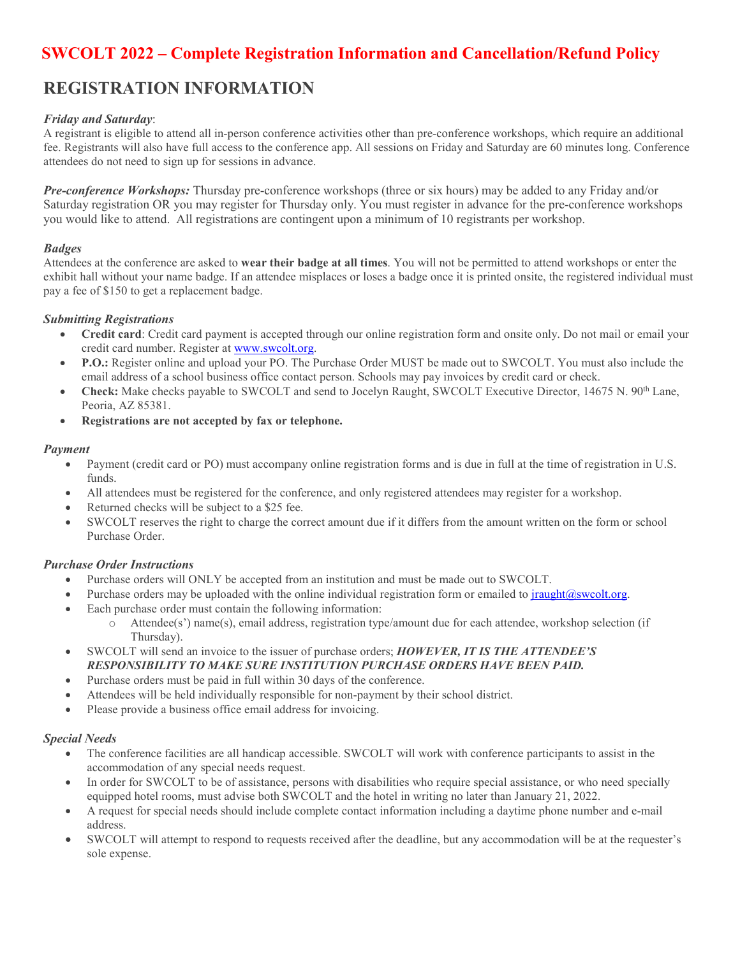# **SWCOLT <sup>2022</sup> – Complete Registration Information and Cancellation/Refund Policy**

# **REGISTRATION INFORMATION**

# *Friday and Saturday*:

A registrant is eligible to attend all in-person conference activities other than pre-conference workshops, which require an additional fee. Registrants will also have full access to the conference app. All sessions on Friday and Saturday are 60 minutes long. Conference attendees do not need to sign up for sessions in advance.

*Pre-conference Workshops:* Thursday pre-conference workshops (three or six hours) may be added to any Friday and/or Saturday registration OR you may register for Thursday only. You must register in advance for the pre-conference workshops you would like to attend. All registrations are contingent upon a minimum of 10 registrants per workshop.

#### *Badges*

Attendees at the conference are asked to **wear their badge at all times**. You will not be permitted to attend workshops or enter the exhibit hall without your name badge. If an attendee misplaces or loses a badge once it is printed onsite, the registered individual must pay a fee of \$150 to get a replacement badge.

#### *Submitting Registrations*

- **Credit card**: Credit card payment is accepted through our online registration form and onsite only. Do not mail or email your credit card number. Register at www.swcolt.org.
- **P.O.:** Register online and upload your PO. The Purchase Order MUST be made out to SWCOLT. You must also include the email address of a school business office contact person. Schools may pay invoices by credit card or check.
- **Check:** Make checks payable to SWCOLT and send to Jocelyn Raught, SWCOLT Executive Director, 14675 N. 90th Lane, Peoria, AZ 85381.
- **Registrations are not accepted by fax or telephone.**

#### *Payment*

- Payment (credit card or PO) must accompany online registration forms and is due in full at the time of registration in U.S. funds.
- All attendees must be registered for the conference, and only registered attendees may register for a workshop.
- Returned checks will be subject to a \$25 fee.
- SWCOLT reserves the right to charge the correct amount due if it differs from the amount written on the form or school Purchase Order.

# *Purchase Order Instructions*

- Purchase orders will ONLY be accepted from an institution and must be made out to SWCOLT.
- Purchase orders may be uploaded with the online individual registration form or emailed t[o jraught@swcolt.org.](mailto:jraught@swcolt.org)
- Each purchase order must contain the following information:
	- o Attendee(s') name(s), email address, registration type/amount due for each attendee, workshop selection (if Thursday).
- SWCOLT will send an invoice to the issuer of purchase orders; *HOWEVER, IT IS THE ATTENDEE'S RESPONSIBILITY TO MAKE SURE INSTITUTION PURCHASE ORDERS HAVE BEEN PAID.*
- Purchase orders must be paid in full within 30 days of the conference.
- Attendees will be held individually responsible for non-payment by their school district.
- Please provide a business office email address for invoicing.

# *Special Needs*

- The conference facilities are all handicap accessible. SWCOLT will work with conference participants to assist in the accommodation of any special needs request.
- In order for SWCOLT to be of assistance, persons with disabilities who require special assistance, or who need specially equipped hotel rooms, must advise both SWCOLT and the hotel in writing no later than January 21, 2022.
- A request for special needs should include complete contact information including a daytime phone number and e-mail address.
- SWCOLT will attempt to respond to requests received after the deadline, but any accommodation will be at the requester's sole expense.